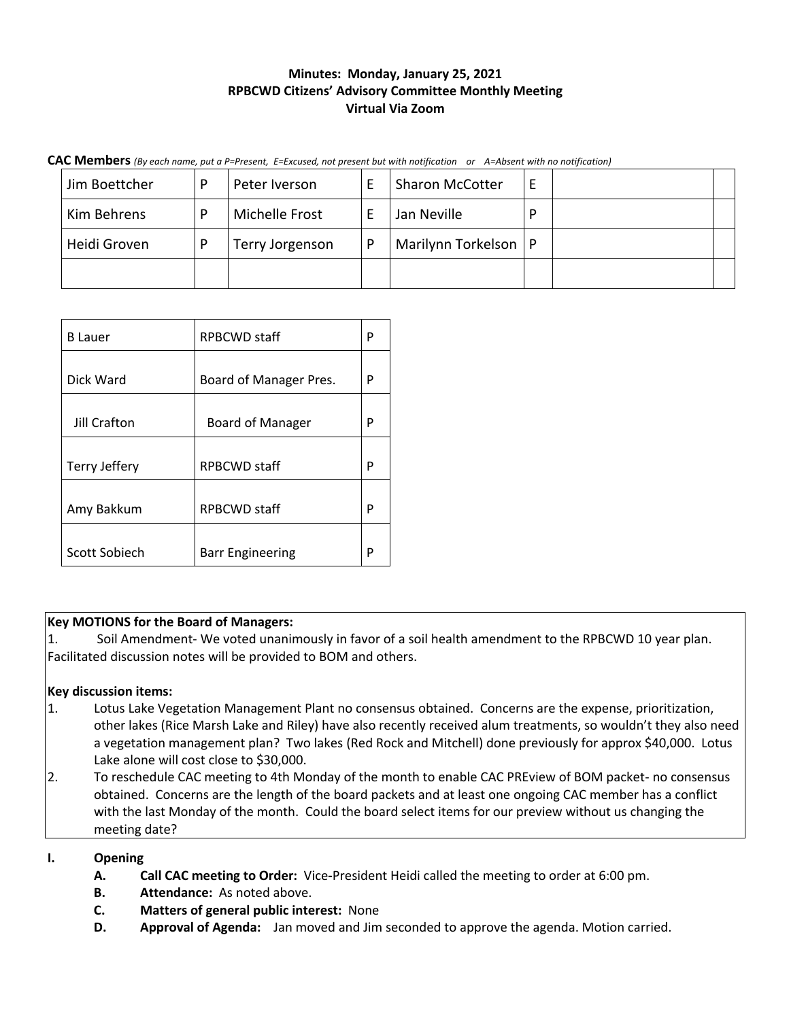# **Minutes: Monday, January 25, 2021 RPBCWD Citizens' Advisory Committee Monthly Meeting Virtual Via Zoom**

**CAC Members** *(By each name, put a P=Present, E=Excused, not present but with notification or A=Absent with no notification)*

| Jim Boettcher | D | Peter Iverson   |   | <b>Sharon McCotter</b> |   |  |
|---------------|---|-----------------|---|------------------------|---|--|
| Kim Behrens   | D | Michelle Frost  |   | Jan Neville            | D |  |
| Heidi Groven  | D | Terry Jorgenson | D | Marilynn Torkelson   P |   |  |
|               |   |                 |   |                        |   |  |

| <b>B</b> Lauer | <b>RPBCWD staff</b>     |   |  |  |
|----------------|-------------------------|---|--|--|
|                |                         |   |  |  |
| Dick Ward      | Board of Manager Pres.  |   |  |  |
|                |                         |   |  |  |
| Jill Crafton   | <b>Board of Manager</b> |   |  |  |
|                |                         |   |  |  |
| Terry Jeffery  | <b>RPBCWD</b> staff     | P |  |  |
|                |                         |   |  |  |
| Amy Bakkum     | <b>RPBCWD staff</b>     | P |  |  |
|                |                         |   |  |  |
| Scott Sobiech  | <b>Barr Engineering</b> | P |  |  |

## **Key MOTIONS for the Board of Managers:**

1. Soil Amendment- We voted unanimously in favor of a soil health amendment to the RPBCWD 10 year plan. Facilitated discussion notes will be provided to BOM and others.

## **Key discussion items:**

- 1. Lotus Lake Vegetation Management Plant no consensus obtained. Concerns are the expense, prioritization, other lakes (Rice Marsh Lake and Riley) have also recently received alum treatments, so wouldn't they also need a vegetation management plan? Two lakes (Red Rock and Mitchell) done previously for approx \$40,000. Lotus Lake alone will cost close to \$30,000.
- 2. To reschedule CAC meeting to 4th Monday of the month to enable CAC PREview of BOM packet- no consensus obtained. Concerns are the length of the board packets and at least one ongoing CAC member has a conflict with the last Monday of the month. Could the board select items for our preview without us changing the meeting date?

# **I. Opening**

- **A. Call CAC meeting to Order:** Vice**-**President Heidi called the meeting to order at 6:00 pm.
- **B. Attendance:** As noted above.
- **C. Matters of general public interest:** None
- **D. Approval of Agenda:** Jan moved and Jim seconded to approve the agenda. Motion carried.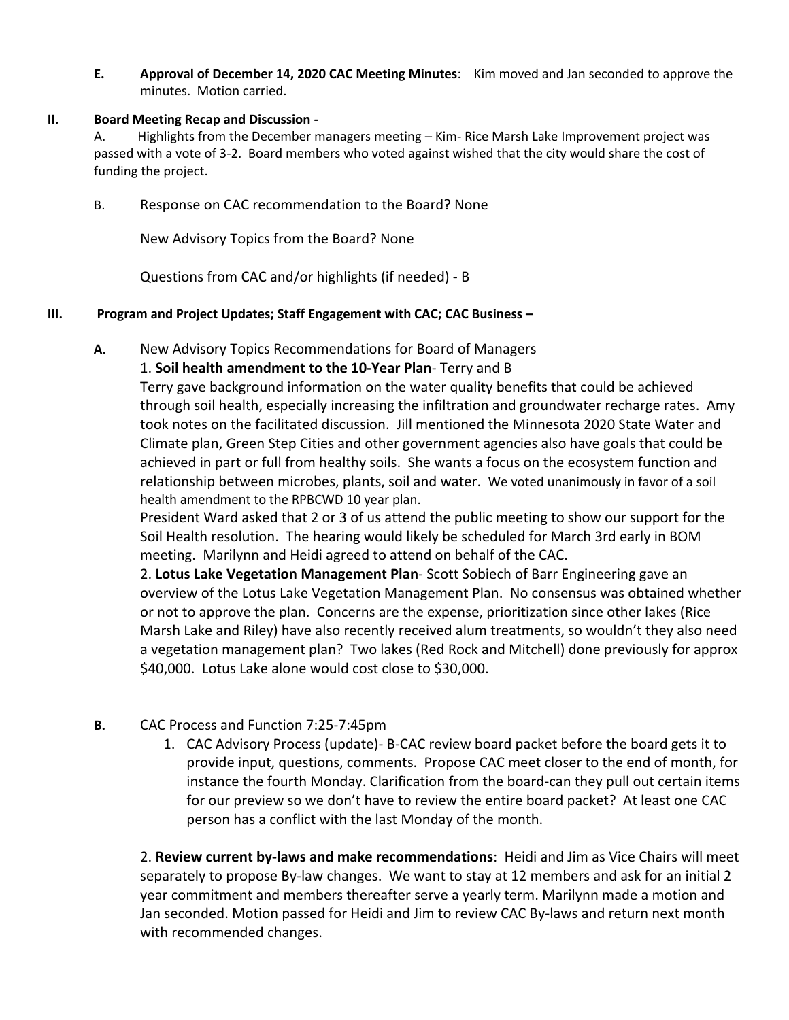**E. Approval of December 14, 2020 CAC Meeting Minutes**: Kim moved and Jan seconded to approve the minutes. Motion carried.

## **II. Board Meeting Recap and Discussion -**

A. Highlights from the December managers meeting – Kim- Rice Marsh Lake Improvement project was passed with a vote of 3-2. Board members who voted against wished that the city would share the cost of funding the project.

B. Response on CAC recommendation to the Board? None

New Advisory Topics from the Board? None

Questions from CAC and/or highlights (if needed) - B

## **III. Program and Project Updates; Staff Engagement with CAC; CAC Business –**

**A.** New Advisory Topics Recommendations for Board of Managers

# 1. **Soil health amendment to the 10-Year Plan**- Terry and B

Terry gave background information on the water quality benefits that could be achieved through soil health, especially increasing the infiltration and groundwater recharge rates. Amy took notes on the facilitated discussion. Jill mentioned the Minnesota 2020 State Water and Climate plan, Green Step Cities and other government agencies also have goals that could be achieved in part or full from healthy soils. She wants a focus on the ecosystem function and relationship between microbes, plants, soil and water. We voted unanimously in favor of a soil health amendment to the RPBCWD 10 year plan.

President Ward asked that 2 or 3 of us attend the public meeting to show our support for the Soil Health resolution. The hearing would likely be scheduled for March 3rd early in BOM meeting. Marilynn and Heidi agreed to attend on behalf of the CAC.

2. **Lotus Lake Vegetation Management Plan**- Scott Sobiech of Barr Engineering gave an overview of the Lotus Lake Vegetation Management Plan. No consensus was obtained whether or not to approve the plan. Concerns are the expense, prioritization since other lakes (Rice Marsh Lake and Riley) have also recently received alum treatments, so wouldn't they also need a vegetation management plan? Two lakes (Red Rock and Mitchell) done previously for approx \$40,000. Lotus Lake alone would cost close to \$30,000.

- **B.** CAC Process and Function 7:25-7:45pm
	- 1. CAC Advisory Process (update)- B-CAC review board packet before the board gets it to provide input, questions, comments. Propose CAC meet closer to the end of month, for instance the fourth Monday. Clarification from the board-can they pull out certain items for our preview so we don't have to review the entire board packet? At least one CAC person has a conflict with the last Monday of the month.

2. **Review current by-laws and make recommendations**: Heidi and Jim as Vice Chairs will meet separately to propose By-law changes. We want to stay at 12 members and ask for an initial 2 year commitment and members thereafter serve a yearly term. Marilynn made a motion and Jan seconded. Motion passed for Heidi and Jim to review CAC By-laws and return next month with recommended changes.